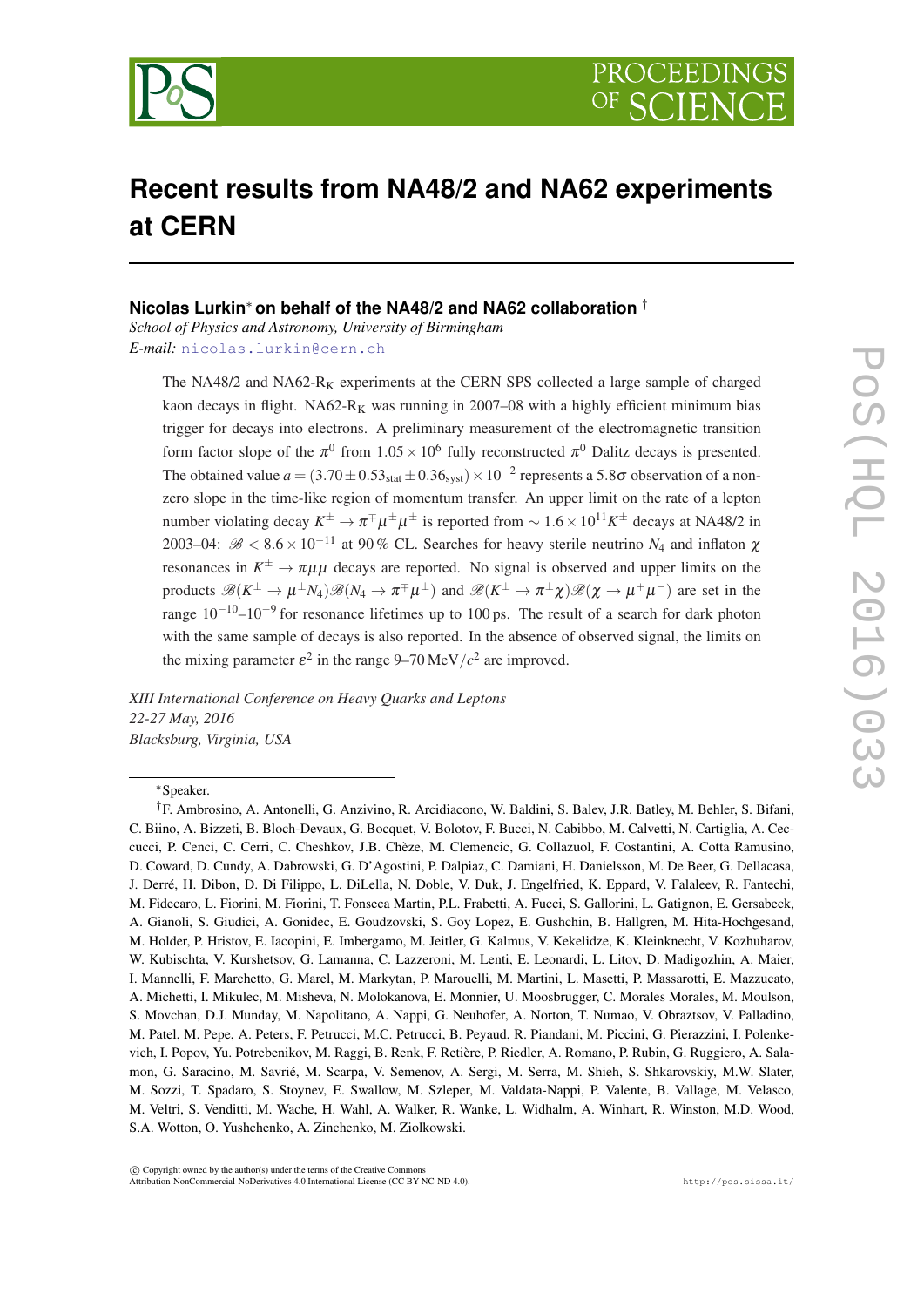

# **Recent results from NA48/2 and NA62 experiments at CERN**

### **Nicolas Lurkin**<sup>∗</sup> **on behalf of the NA48/2 and NA62 collaboration** †

*School of Physics and Astronomy, University of Birmingham E-mail:* [nicolas.lurkin@cern.ch](mailto:nicolas.lurkin@cern.ch)

The NA48/2 and NA62- $R_K$  experiments at the CERN SPS collected a large sample of charged kaon decays in flight. NA62- $R_K$  was running in 2007–08 with a highly efficient minimum bias trigger for decays into electrons. A preliminary measurement of the electromagnetic transition form factor slope of the  $\pi^0$  from  $1.05 \times 10^6$  fully reconstructed  $\pi^0$  Dalitz decays is presented. The obtained value  $a = (3.70 \pm 0.53_{stat} \pm 0.36_{syst}) \times 10^{-2}$  represents a 5.8 $\sigma$  observation of a nonzero slope in the time-like region of momentum transfer. An upper limit on the rate of a lepton number violating decay  $K^{\pm} \to \pi^{\mp} \mu^{\pm} \mu^{\pm}$  is reported from  $\sim 1.6 \times 10^{11} K^{\pm}$  decays at NA48/2 in 2003–04:  $\mathcal{B} < 8.6 \times 10^{-11}$  at 90 % CL. Searches for heavy sterile neutrino  $N_4$  and inflaton  $\gamma$ resonances in  $K^{\pm} \to \pi \mu \mu$  decays are reported. No signal is observed and upper limits on the products  $\mathscr{B}(K^{\pm}\to\mu^{\pm}N_4)\mathscr{B}(N_4\to\pi^{\mp}\mu^{\pm})$  and  $\mathscr{B}(K^{\pm}\to\pi^{\pm}\chi)\mathscr{B}(\chi\to\mu^+\mu^-)$  are set in the range  $10^{-10}$ – $10^{-9}$  for resonance lifetimes up to 100 ps. The result of a search for dark photon with the same sample of decays is also reported. In the absence of observed signal, the limits on the mixing parameter  $\varepsilon^2$  in the range 9–70 MeV/ $c^2$  are improved.

*XIII International Conference on Heavy Quarks and Leptons 22-27 May, 2016 Blacksburg, Virginia, USA*

<sup>∗</sup>Speaker.

<sup>†</sup>F. Ambrosino, A. Antonelli, G. Anzivino, R. Arcidiacono, W. Baldini, S. Balev, J.R. Batley, M. Behler, S. Bifani, C. Biino, A. Bizzeti, B. Bloch-Devaux, G. Bocquet, V. Bolotov, F. Bucci, N. Cabibbo, M. Calvetti, N. Cartiglia, A. Ceccucci, P. Cenci, C. Cerri, C. Cheshkov, J.B. Chèze, M. Clemencic, G. Collazuol, F. Costantini, A. Cotta Ramusino, D. Coward, D. Cundy, A. Dabrowski, G. D'Agostini, P. Dalpiaz, C. Damiani, H. Danielsson, M. De Beer, G. Dellacasa, J. Derré, H. Dibon, D. Di Filippo, L. DiLella, N. Doble, V. Duk, J. Engelfried, K. Eppard, V. Falaleev, R. Fantechi, M. Fidecaro, L. Fiorini, M. Fiorini, T. Fonseca Martin, P.L. Frabetti, A. Fucci, S. Gallorini, L. Gatignon, E. Gersabeck, A. Gianoli, S. Giudici, A. Gonidec, E. Goudzovski, S. Goy Lopez, E. Gushchin, B. Hallgren, M. Hita-Hochgesand, M. Holder, P. Hristov, E. Iacopini, E. Imbergamo, M. Jeitler, G. Kalmus, V. Kekelidze, K. Kleinknecht, V. Kozhuharov, W. Kubischta, V. Kurshetsov, G. Lamanna, C. Lazzeroni, M. Lenti, E. Leonardi, L. Litov, D. Madigozhin, A. Maier, I. Mannelli, F. Marchetto, G. Marel, M. Markytan, P. Marouelli, M. Martini, L. Masetti, P. Massarotti, E. Mazzucato, A. Michetti, I. Mikulec, M. Misheva, N. Molokanova, E. Monnier, U. Moosbrugger, C. Morales Morales, M. Moulson, S. Movchan, D.J. Munday, M. Napolitano, A. Nappi, G. Neuhofer, A. Norton, T. Numao, V. Obraztsov, V. Palladino, M. Patel, M. Pepe, A. Peters, F. Petrucci, M.C. Petrucci, B. Peyaud, R. Piandani, M. Piccini, G. Pierazzini, I. Polenkevich, I. Popov, Yu. Potrebenikov, M. Raggi, B. Renk, F. Retière, P. Riedler, A. Romano, P. Rubin, G. Ruggiero, A. Salamon, G. Saracino, M. Savrié, M. Scarpa, V. Semenov, A. Sergi, M. Serra, M. Shieh, S. Shkarovskiy, M.W. Slater, M. Sozzi, T. Spadaro, S. Stoynev, E. Swallow, M. Szleper, M. Valdata-Nappi, P. Valente, B. Vallage, M. Velasco, M. Veltri, S. Venditti, M. Wache, H. Wahl, A. Walker, R. Wanke, L. Widhalm, A. Winhart, R. Winston, M.D. Wood, S.A. Wotton, O. Yushchenko, A. Zinchenko, M. Ziolkowski.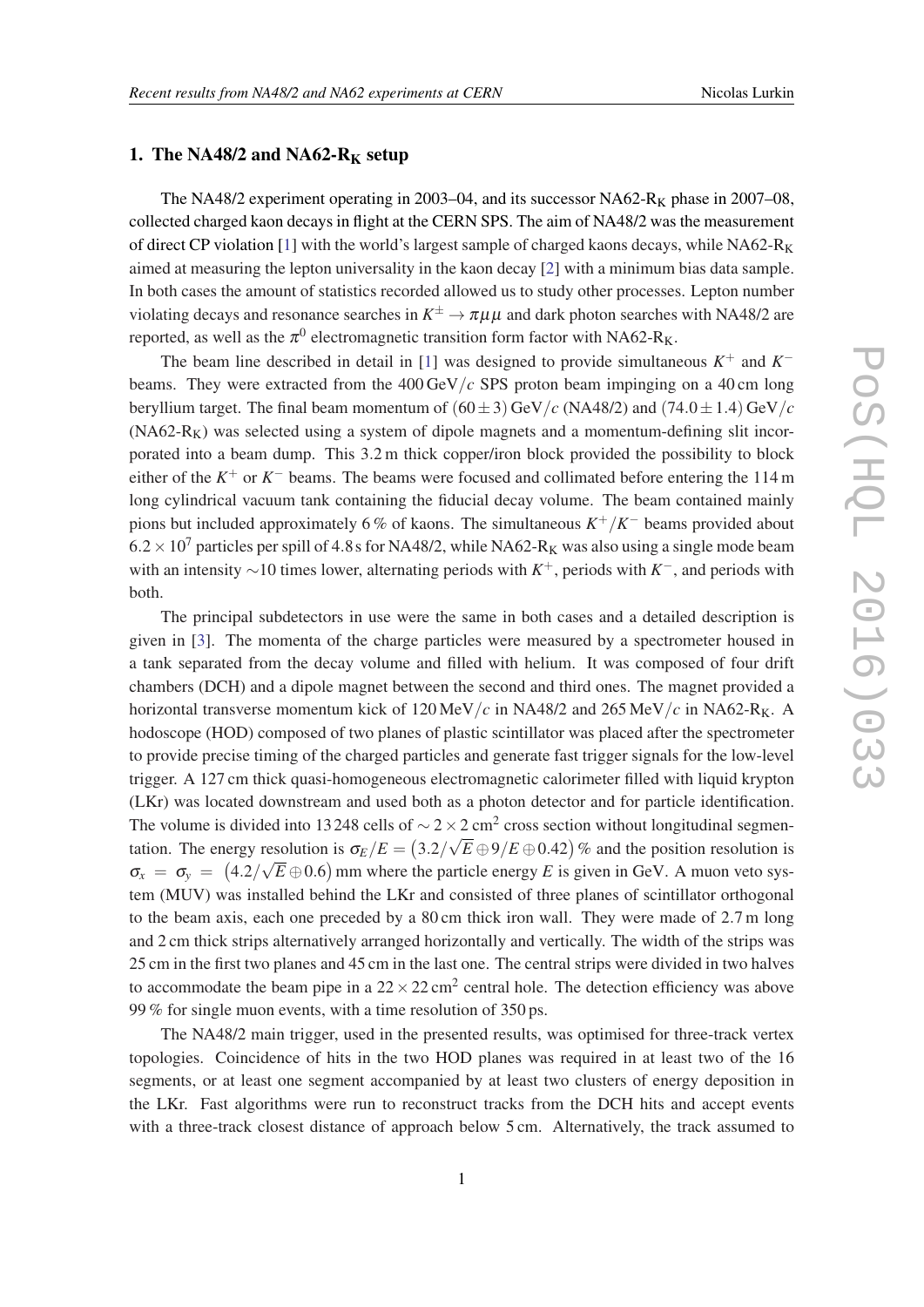### <span id="page-1-0"></span>1. The NA48/2 and NA62- $R_K$  setup

The NA48/2 experiment operating in 2003–04, and its successor NA62- $R_K$  phase in 2007–08, collected charged kaon decays in flight at the CERN SPS. The aim of NA48/2 was the measurement of direct CP violation [[1\]](#page-9-0) with the world's largest sample of charged kaons decays, while  $NA62-R_K$ aimed at measuring the lepton universality in the kaon decay [[2](#page-9-0)] with a minimum bias data sample. In both cases the amount of statistics recorded allowed us to study other processes. Lepton number violating decays and resonance searches in  $K^{\pm} \to \pi \mu \mu$  and dark photon searches with NA48/2 are reported, as well as the  $\pi^0$  electromagnetic transition form factor with NA62-R<sub>K</sub>.

The beam line described in detail in [\[1\]](#page-9-0) was designed to provide simultaneous  $K^+$  and  $K^$ beams. They were extracted from the 400 GeV/*c* SPS proton beam impinging on a 40 cm long beryllium target. The final beam momentum of  $(60 \pm 3)$  GeV/*c* (NA48/2) and  $(74.0 \pm 1.4)$  GeV/*c*  $(NA62-R<sub>K</sub>)$  was selected using a system of dipole magnets and a momentum-defining slit incorporated into a beam dump. This 3.2 m thick copper/iron block provided the possibility to block either of the  $K^+$  or  $K^-$  beams. The beams were focused and collimated before entering the 114 m long cylindrical vacuum tank containing the fiducial decay volume. The beam contained mainly pions but included approximately 6 % of kaons. The simultaneous *K* <sup>+</sup>/*K* <sup>−</sup> beams provided about  $6.2 \times 10^7$  particles per spill of 4.8 s for NA48/2, while NA62-R<sub>K</sub> was also using a single mode beam with an intensity ~10 times lower, alternating periods with  $K^+$ , periods with  $K^-$ , and periods with both.

The principal subdetectors in use were the same in both cases and a detailed description is given in [[3](#page-9-0)]. The momenta of the charge particles were measured by a spectrometer housed in a tank separated from the decay volume and filled with helium. It was composed of four drift chambers (DCH) and a dipole magnet between the second and third ones. The magnet provided a horizontal transverse momentum kick of 120 MeV/ $c$  in NA48/2 and 265 MeV/ $c$  in NA62-R<sub>K</sub>. A hodoscope (HOD) composed of two planes of plastic scintillator was placed after the spectrometer to provide precise timing of the charged particles and generate fast trigger signals for the low-level trigger. A 127 cm thick quasi-homogeneous electromagnetic calorimeter filled with liquid krypton (LKr) was located downstream and used both as a photon detector and for particle identification. The volume is divided into 13248 cells of  $\sim$  2 × 2 cm<sup>2</sup> cross section without longitudinal segmentation. The energy resolution is  $\sigma_E/E = (3.2/\sqrt{E} \oplus 9/E \oplus 0.42)$  % and the position resolution is  $\sigma_x = \sigma_y = (4.2/\sqrt{E} \oplus 0.6)$  mm where the particle energy *E* is given in GeV. A muon veto system (MUV) was installed behind the LKr and consisted of three planes of scintillator orthogonal to the beam axis, each one preceded by a 80 cm thick iron wall. They were made of 2.7 m long and 2 cm thick strips alternatively arranged horizontally and vertically. The width of the strips was 25 cm in the first two planes and 45 cm in the last one. The central strips were divided in two halves to accommodate the beam pipe in a  $22 \times 22$  cm<sup>2</sup> central hole. The detection efficiency was above 99 % for single muon events, with a time resolution of 350 ps.

The NA48/2 main trigger, used in the presented results, was optimised for three-track vertex topologies. Coincidence of hits in the two HOD planes was required in at least two of the 16 segments, or at least one segment accompanied by at least two clusters of energy deposition in the LKr. Fast algorithms were run to reconstruct tracks from the DCH hits and accept events with a three-track closest distance of approach below 5 cm. Alternatively, the track assumed to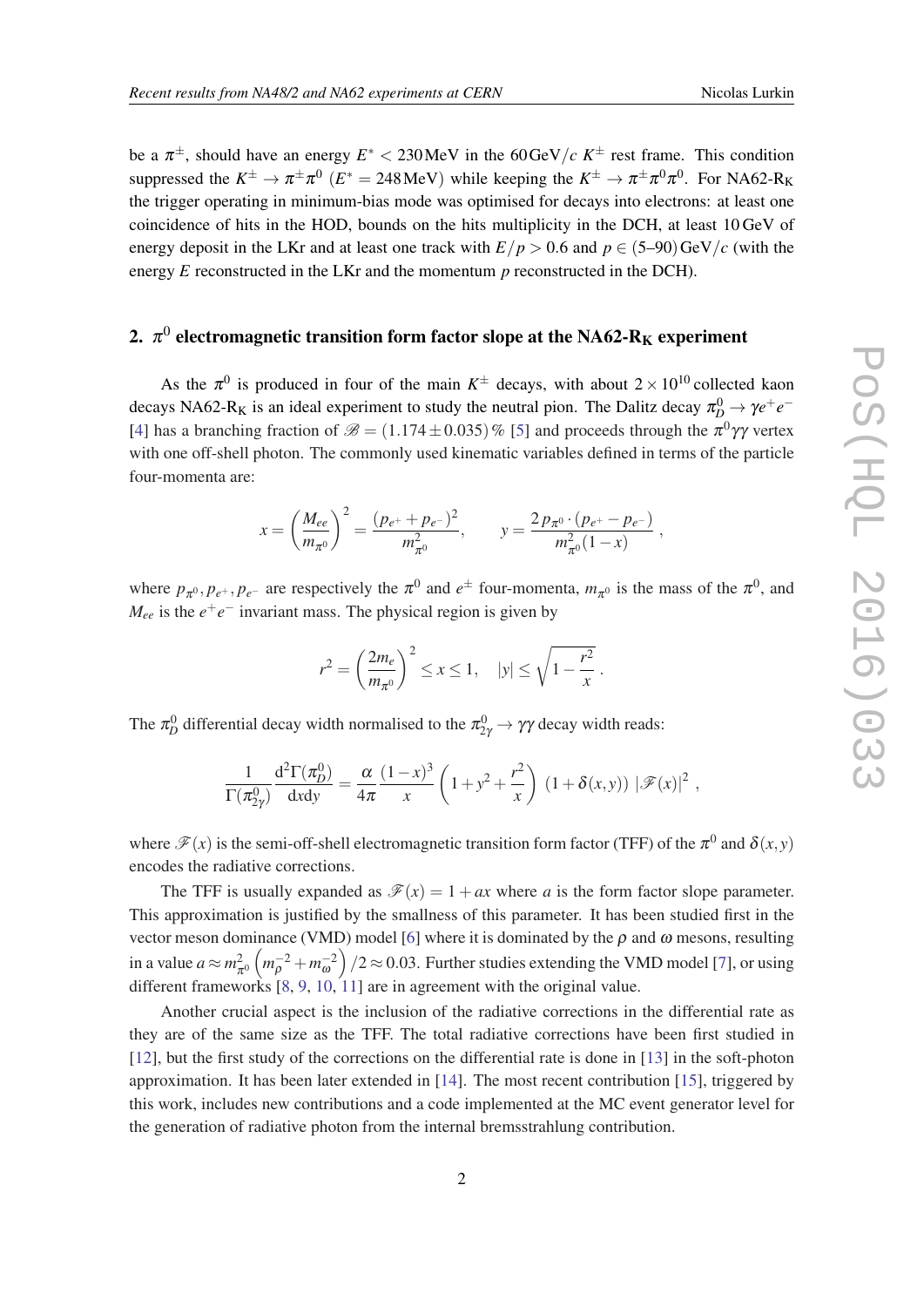<span id="page-2-0"></span>be a  $\pi^{\pm}$ , should have an energy  $E^* < 230 \,\text{MeV}$  in the  $60 \,\text{GeV}/c$   $K^{\pm}$  rest frame. This condition suppressed the  $K^{\pm} \to \pi^{\pm} \pi^0$   $(E^*=248\,\text{MeV})$  while keeping the  $K^{\pm} \to \pi^{\pm} \pi^0 \pi^0$ . For NA62-R<sub>K</sub> the trigger operating in minimum-bias mode was optimised for decays into electrons: at least one coincidence of hits in the HOD, bounds on the hits multiplicity in the DCH, at least 10 GeV of energy deposit in the LKr and at least one track with  $E/p > 0.6$  and  $p \in (5-90)$  GeV/*c* (with the energy *E* reconstructed in the LKr and the momentum *p* reconstructed in the DCH).

# 2.  $\,\pi^0$  electromagnetic transition form factor slope at the NA62-R<sub>K</sub> experiment

As the  $\pi^0$  is produced in four of the main  $K^{\pm}$  decays, with about  $2 \times 10^{10}$  collected kaon decays NA62-R<sub>K</sub> is an ideal experiment to study the neutral pion. The Dalitz decay  $\pi_D^0 \to \gamma e^+e^-$ [[4](#page-9-0)] has a branching fraction of  $\mathscr{B} = (1.174 \pm 0.035)$  $\mathscr{B} = (1.174 \pm 0.035)$  $\mathscr{B} = (1.174 \pm 0.035)$  % [5] and proceeds through the  $\pi^0 \gamma \gamma$  vertex with one off-shell photon. The commonly used kinematic variables defined in terms of the particle four-momenta are:

$$
x = \left(\frac{M_{ee}}{m_{\pi^0}}\right)^2 = \frac{(p_{e^+} + p_{e^-})^2}{m_{\pi^0}^2}, \qquad y = \frac{2\,p_{\pi^0} \cdot (p_{e^+} - p_{e^-})}{m_{\pi^0}^2 (1 - x)},
$$

where  $p_{\pi^0}, p_{e^+}, p_{e^-}$  are respectively the  $\pi^0$  and  $e^{\pm}$  four-momenta,  $m_{\pi^0}$  is the mass of the  $\pi^0$ , and  $M_{ee}$  is the  $e^+e^-$  invariant mass. The physical region is given by

$$
r^{2} = \left(\frac{2m_{e}}{m_{\pi^{0}}}\right)^{2} \leq x \leq 1, \quad |y| \leq \sqrt{1 - \frac{r^{2}}{x}}.
$$

The  $\pi_D^0$  differential decay width normalised to the  $\pi_{2\gamma}^0 \to \gamma\gamma$  decay width reads:

$$
\frac{1}{\Gamma(\pi_{2\gamma}^0)}\frac{\mathrm{d}^2\Gamma(\pi_D^0)}{\mathrm{d}x\mathrm{d}y} = \frac{\alpha}{4\pi}\frac{(1-x)^3}{x}\left(1+y^2+\frac{r^2}{x}\right)\left(1+\delta(x,y)\right)\left|\mathscr{F}(x)\right|^2,
$$

where  $\mathscr{F}(x)$  is the semi-off-shell electromagnetic transition form factor (TFF) of the  $\pi^0$  and  $\delta(x, y)$ encodes the radiative corrections.

The TFF is usually expanded as  $\mathcal{F}(x) = 1 + ax$  where *a* is the form factor slope parameter. This approximation is justified by the smallness of this parameter. It has been studied first in the vector meson dominance (VMD) model [\[6\]](#page-9-0) where it is dominated by the  $\rho$  and  $\omega$  mesons, resulting in a value  $a \approx m_{\pi}^2$  $\frac{2}{\pi^0}\left(m_\rho^{-2}+m_\omega^{-2}\right)/2\approx 0.03.$  Further studies extending the VMD model [[7](#page-9-0)], or using different frameworks  $[8, 9, 10, 11]$  $[8, 9, 10, 11]$  $[8, 9, 10, 11]$  $[8, 9, 10, 11]$  $[8, 9, 10, 11]$  $[8, 9, 10, 11]$  $[8, 9, 10, 11]$  are in agreement with the original value.

Another crucial aspect is the inclusion of the radiative corrections in the differential rate as they are of the same size as the TFF. The total radiative corrections have been first studied in [[12\]](#page-10-0), but the first study of the corrections on the differential rate is done in [\[13](#page-10-0)] in the soft-photon approximation. It has been later extended in [[14\]](#page-10-0). The most recent contribution [\[15](#page-10-0)], triggered by this work, includes new contributions and a code implemented at the MC event generator level for the generation of radiative photon from the internal bremsstrahlung contribution.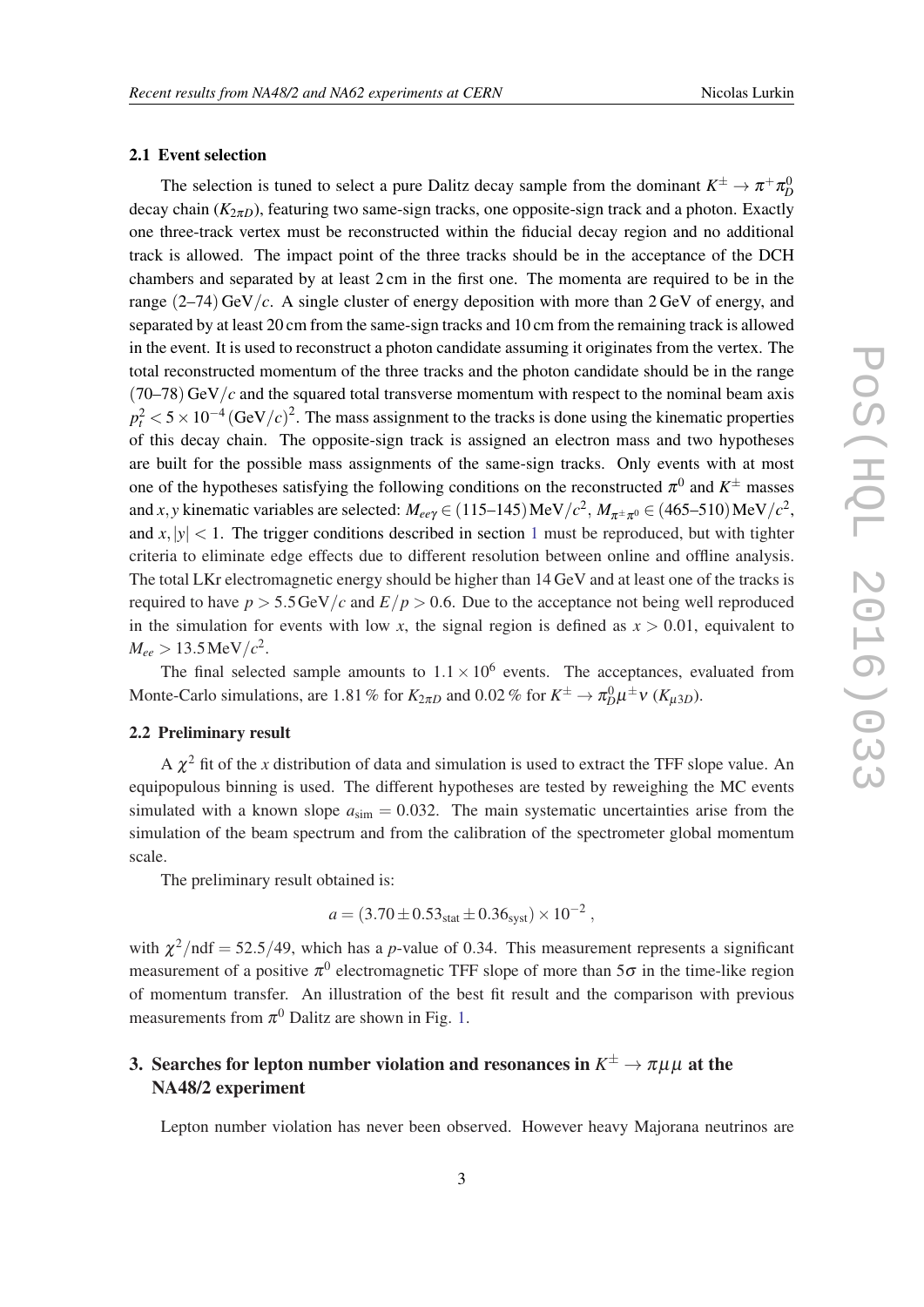#### <span id="page-3-0"></span>2.1 Event selection

The selection is tuned to select a pure Dalitz decay sample from the dominant  $K^{\pm} \to \pi^+ \pi^0_D$ decay chain  $(K_{2\pi D})$ , featuring two same-sign tracks, one opposite-sign track and a photon. Exactly one three-track vertex must be reconstructed within the fiducial decay region and no additional track is allowed. The impact point of the three tracks should be in the acceptance of the DCH chambers and separated by at least 2 cm in the first one. The momenta are required to be in the range (2–74) GeV/*c*. A single cluster of energy deposition with more than 2 GeV of energy, and separated by at least 20 cm from the same-sign tracks and 10 cm from the remaining track is allowed in the event. It is used to reconstruct a photon candidate assuming it originates from the vertex. The total reconstructed momentum of the three tracks and the photon candidate should be in the range  $(70-78)$  GeV/ $c$  and the squared total transverse momentum with respect to the nominal beam axis  $p_t^2 < 5 \times 10^{-4} \, (\text{GeV}/c)^2$ . The mass assignment to the tracks is done using the kinematic properties of this decay chain. The opposite-sign track is assigned an electron mass and two hypotheses are built for the possible mass assignments of the same-sign tracks. Only events with at most one of the hypotheses satisfying the following conditions on the reconstructed  $\pi^0$  and  $K^{\pm}$  masses and *x*, *y* kinematic variables are selected:  $M_{ee\gamma} \in (115-145) \,\text{MeV}/c^2$ ,  $M_{\pi^{\pm}\pi^0} \in (465-510) \,\text{MeV}/c^2$ , and  $x, |y| < 1$  $x, |y| < 1$ . The trigger conditions described in section 1 must be reproduced, but with tighter criteria to eliminate edge effects due to different resolution between online and offline analysis. The total LKr electromagnetic energy should be higher than 14 GeV and at least one of the tracks is required to have  $p > 5.5 \text{GeV}/c$  and  $E/p > 0.6$ . Due to the acceptance not being well reproduced in the simulation for events with low *x*, the signal region is defined as  $x > 0.01$ , equivalent to  $M_{ee} > 13.5 \,\text{MeV}/c^2$ .

The final selected sample amounts to  $1.1 \times 10^6$  events. The acceptances, evaluated from Monte-Carlo simulations, are 1.81 % for  $K_{2\pi D}$  and 0.02 % for  $K^{\pm} \to \pi_D^0 \mu^{\pm} \nu$  ( $K_{\mu 3D}$ ).

### 2.2 Preliminary result

A  $\chi^2$  fit of the *x* distribution of data and simulation is used to extract the TFF slope value. An equipopulous binning is used. The different hypotheses are tested by reweighing the MC events simulated with a known slope  $a_{\text{sim}} = 0.032$ . The main systematic uncertainties arise from the simulation of the beam spectrum and from the calibration of the spectrometer global momentum scale.

The preliminary result obtained is:

$$
a = (3.70 \pm 0.53_{stat} \pm 0.36_{syst}) \times 10^{-2}
$$
,

with  $\chi^2$ /ndf = 52.5/49, which has a *p*-value of 0.34. This measurement represents a significant measurement of a positive  $\pi^0$  electromagnetic TFF slope of more than  $5\sigma$  in the time-like region of momentum transfer. An illustration of the best fit result and the comparison with previous measurements from  $\pi^0$  Dalitz are shown in Fig. [1](#page-4-0).

## 3. Searches for lepton number violation and resonances in  $K^\pm \to \pi \mu \mu$  at the NA48/2 experiment

Lepton number violation has never been observed. However heavy Majorana neutrinos are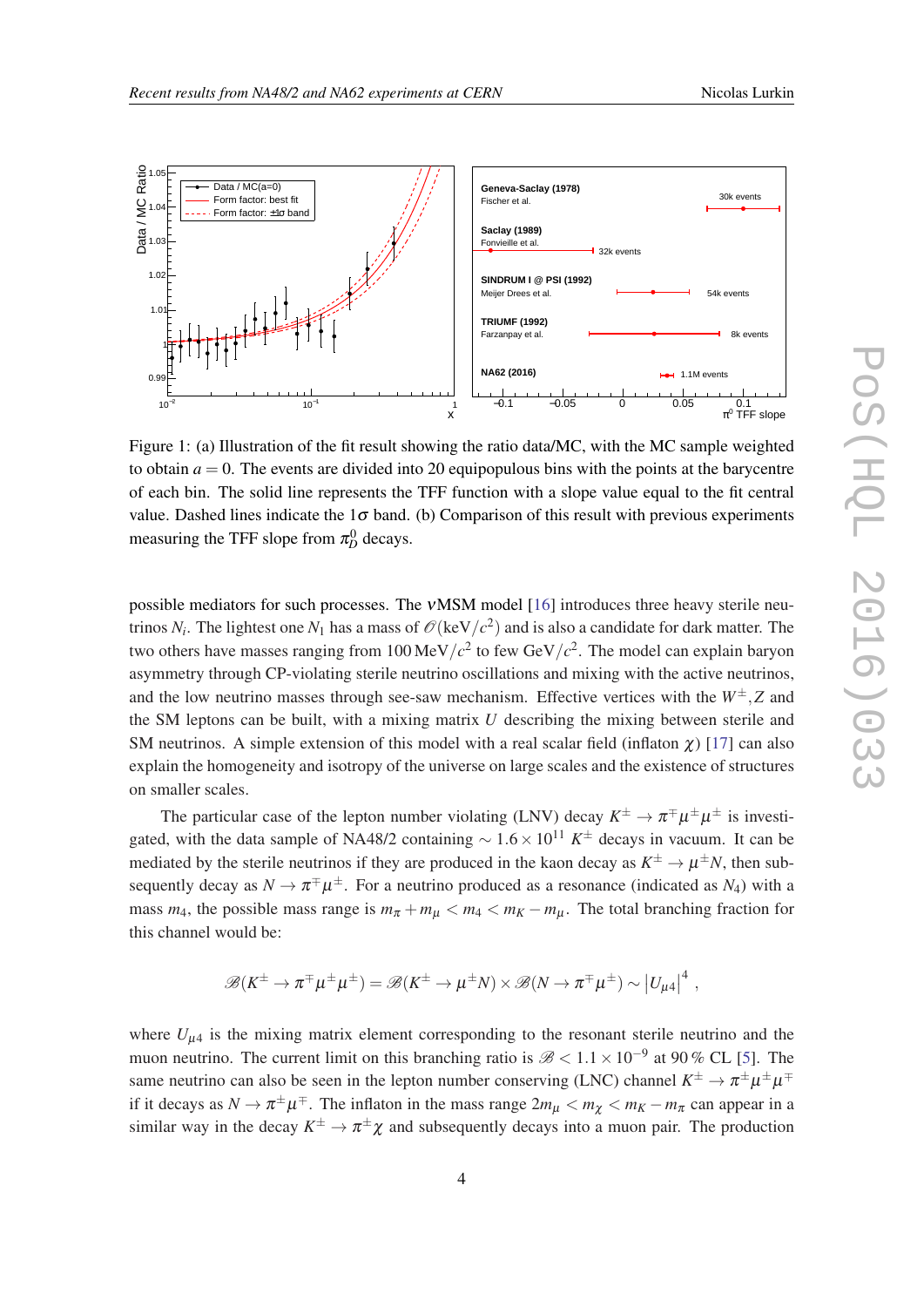<span id="page-4-0"></span>

Figure 1: (a) Illustration of the fit result showing the ratio data/MC, with the MC sample weighted to obtain  $a = 0$ . The events are divided into 20 equipopulous bins with the points at the barycentre of each bin. The solid line represents the TFF function with a slope value equal to the fit central value. Dashed lines indicate the  $1\sigma$  band. (b) Comparison of this result with previous experiments measuring the TFF slope from  $\pi_D^0$  decays.

possible mediators for such processes. The vMSM model [[16\]](#page-10-0) introduces three heavy sterile neutrinos  $N_i$ . The lightest one  $N_1$  has a mass of  $\mathscr{O}(\text{keV}/c^2)$  and is also a candidate for dark matter. The two others have masses ranging from 100 MeV/ $c^2$  to few GeV/ $c^2$ . The model can explain baryon asymmetry through CP-violating sterile neutrino oscillations and mixing with the active neutrinos, and the low neutrino masses through see-saw mechanism. Effective vertices with the  $W^{\pm}$ , Z and the SM leptons can be built, with a mixing matrix *U* describing the mixing between sterile and SM neutrinos. A simple extension of this model with a real scalar field (inflaton  $\gamma$ ) [\[17](#page-10-0)] can also explain the homogeneity and isotropy of the universe on large scales and the existence of structures on smaller scales.

The particular case of the lepton number violating (LNV) decay  $K^{\pm} \to \pi^{\mp} \mu^{\pm} \mu^{\pm}$  is investigated, with the data sample of NA48/2 containing  $\sim 1.6 \times 10^{11} K^{\pm}$  decays in vacuum. It can be mediated by the sterile neutrinos if they are produced in the kaon decay as  $K^{\pm} \to \mu^{\pm} N$ , then subsequently decay as  $N \to \pi^{\mp} \mu^{\pm}$ . For a neutrino produced as a resonance (indicated as  $N_4$ ) with a mass  $m_4$ , the possible mass range is  $m_{\pi} + m_{\mu} < m_4 < m_K - m_{\mu}$ . The total branching fraction for this channel would be:

$$
\mathscr{B}(K^{\pm}\to\pi^{\mp}\mu^{\pm}\mu^{\pm})=\mathscr{B}(K^{\pm}\to\mu^{\pm}N)\times\mathscr{B}(N\to\pi^{\mp}\mu^{\pm})\sim |U_{\mu 4}|^{4} ,
$$

where  $U_{\mu 4}$  is the mixing matrix element corresponding to the resonant sterile neutrino and the muon neutrino. The current limit on this branching ratio is  $\mathscr{B} < 1.1 \times 10^{-9}$  at 90 % CL [\[5\]](#page-9-0). The same neutrino can also be seen in the lepton number conserving (LNC) channel  $K^{\pm} \to \pi^{\pm} \mu^{\pm} \mu^{\mp}$ if it decays as  $N \to \pi^{\pm} \mu^{\mp}$ . The inflaton in the mass range  $2m_{\mu} < m_{\chi} < m_{K} - m_{\pi}$  can appear in a similar way in the decay  $K^{\pm} \to \pi^{\pm} \chi$  and subsequently decays into a muon pair. The production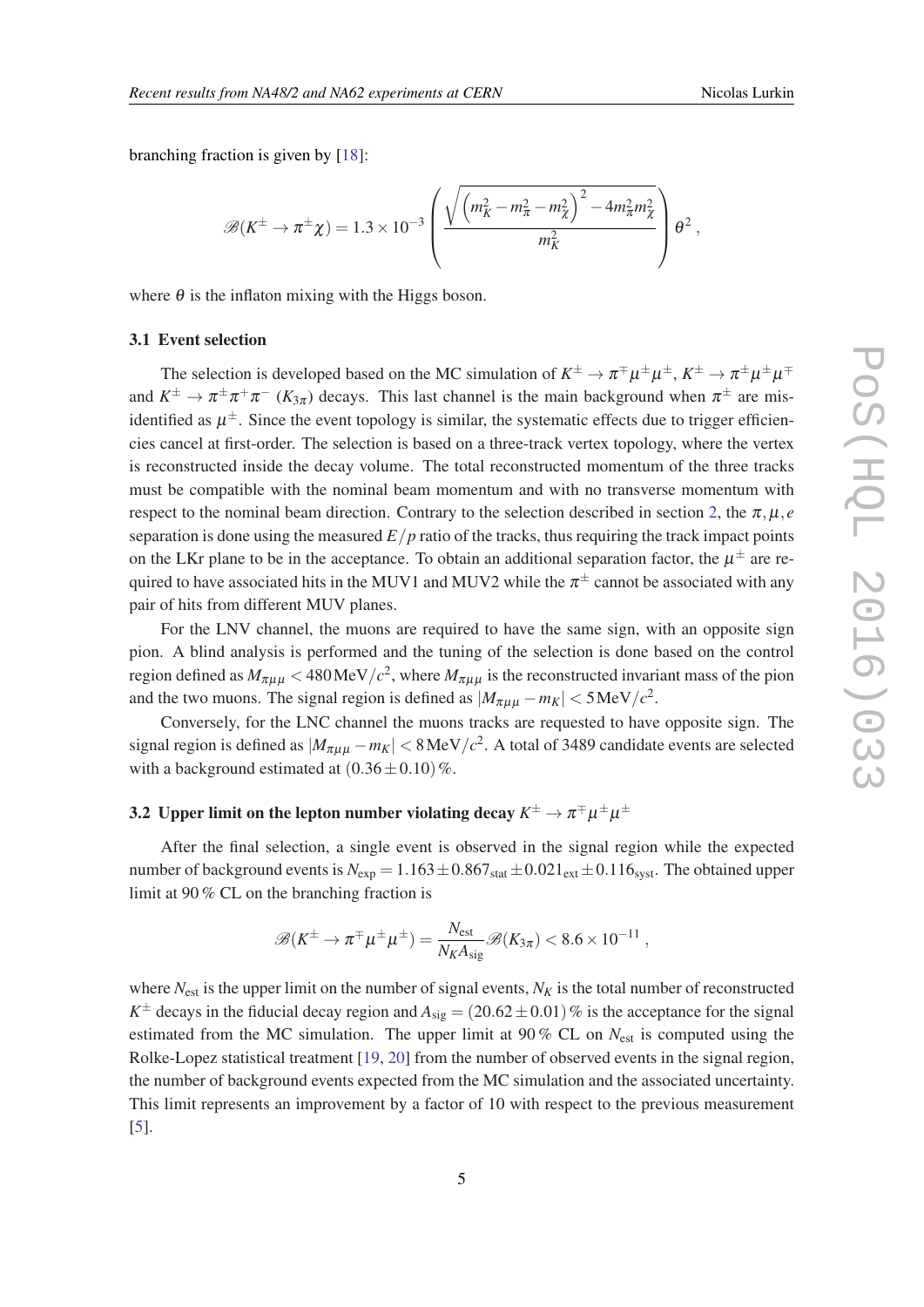branching fraction is given by [\[18](#page-10-0)]:

$$
\mathscr{B}(K^{\pm} \to \pi^{\pm} \chi) = 1.3 \times 10^{-3} \left( \frac{\sqrt{\left(m_K^2 - m_\pi^2 - m_\chi^2\right)^2 - 4m_\pi^2 m_\chi^2}}{m_K^2} \right) \theta^2 ,
$$

where  $\theta$  is the inflaton mixing with the Higgs boson.

### 3.1 Event selection

The selection is developed based on the MC simulation of  $K^{\pm} \to \pi^{\mp} \mu^{\pm} \mu^{\pm}$ ,  $K^{\pm} \to \pi^{\pm} \mu^{\pm} \mu^{\mp}$ and  $K^{\pm} \to \pi^{\pm} \pi^+ \pi^-$  ( $K_{3\pi}$ ) decays. This last channel is the main background when  $\pi^{\pm}$  are misidentified as  $\mu^{\pm}$ . Since the event topology is similar, the systematic effects due to trigger efficiencies cancel at first-order. The selection is based on a three-track vertex topology, where the vertex is reconstructed inside the decay volume. The total reconstructed momentum of the three tracks must be compatible with the nominal beam momentum and with no transverse momentum with respect to the nominal beam direction. Contrary to the selection described in section [2](#page-2-0), the  $\pi, \mu, e$ separation is done using the measured  $E/p$  ratio of the tracks, thus requiring the track impact points on the LKr plane to be in the acceptance. To obtain an additional separation factor, the  $\mu^{\pm}$  are required to have associated hits in the MUV1 and MUV2 while the  $\pi^{\pm}$  cannot be associated with any pair of hits from different MUV planes.

For the LNV channel, the muons are required to have the same sign, with an opposite sign pion. A blind analysis is performed and the tuning of the selection is done based on the control region defined as  $M_{\pi\mu\mu} < 480$ MeV $/c^2$ , where  $M_{\pi\mu\mu}$  is the reconstructed invariant mass of the pion and the two muons. The signal region is defined as  $|M_{\pi\mu\mu} - m_K| < 5 \,\text{MeV}/c^2$ .

Conversely, for the LNC channel the muons tracks are requested to have opposite sign. The signal region is defined as  $|M_{\pi\mu\mu} - m_K| < 8 \,\text{MeV}/c^2$ . A total of 3489 candidate events are selected with a background estimated at  $(0.36 \pm 0.10)\%$ .

### 3.2 Upper limit on the lepton number violating decay  $K^\pm\to\pi^\mp\mu^\pm\mu^\pm$

After the final selection, a single event is observed in the signal region while the expected number of background events is  $N_{exp} = 1.163 \pm 0.867_{stat} \pm 0.021_{ext} \pm 0.116_{syst}$ . The obtained upper limit at 90 % CL on the branching fraction is

$$
\mathscr{B}(K^{\pm} \to \pi^{\mp} \mu^{\pm} \mu^{\pm}) = \frac{N_{\rm est}}{N_K A_{\rm sig}} \mathscr{B}(K_{3\pi}) < 8.6 \times 10^{-11},
$$

where  $N_{est}$  is the upper limit on the number of signal events,  $N_K$  is the total number of reconstructed  $K^{\pm}$  decays in the fiducial decay region and  $A_{sig} = (20.62 \pm 0.01)$ % is the acceptance for the signal estimated from the MC simulation. The upper limit at 90 % CL on  $N_{est}$  is computed using the Rolke-Lopez statistical treatment [[19,](#page-10-0) [20\]](#page-10-0) from the number of observed events in the signal region, the number of background events expected from the MC simulation and the associated uncertainty. This limit represents an improvement by a factor of 10 with respect to the previous measurement [[5](#page-9-0)].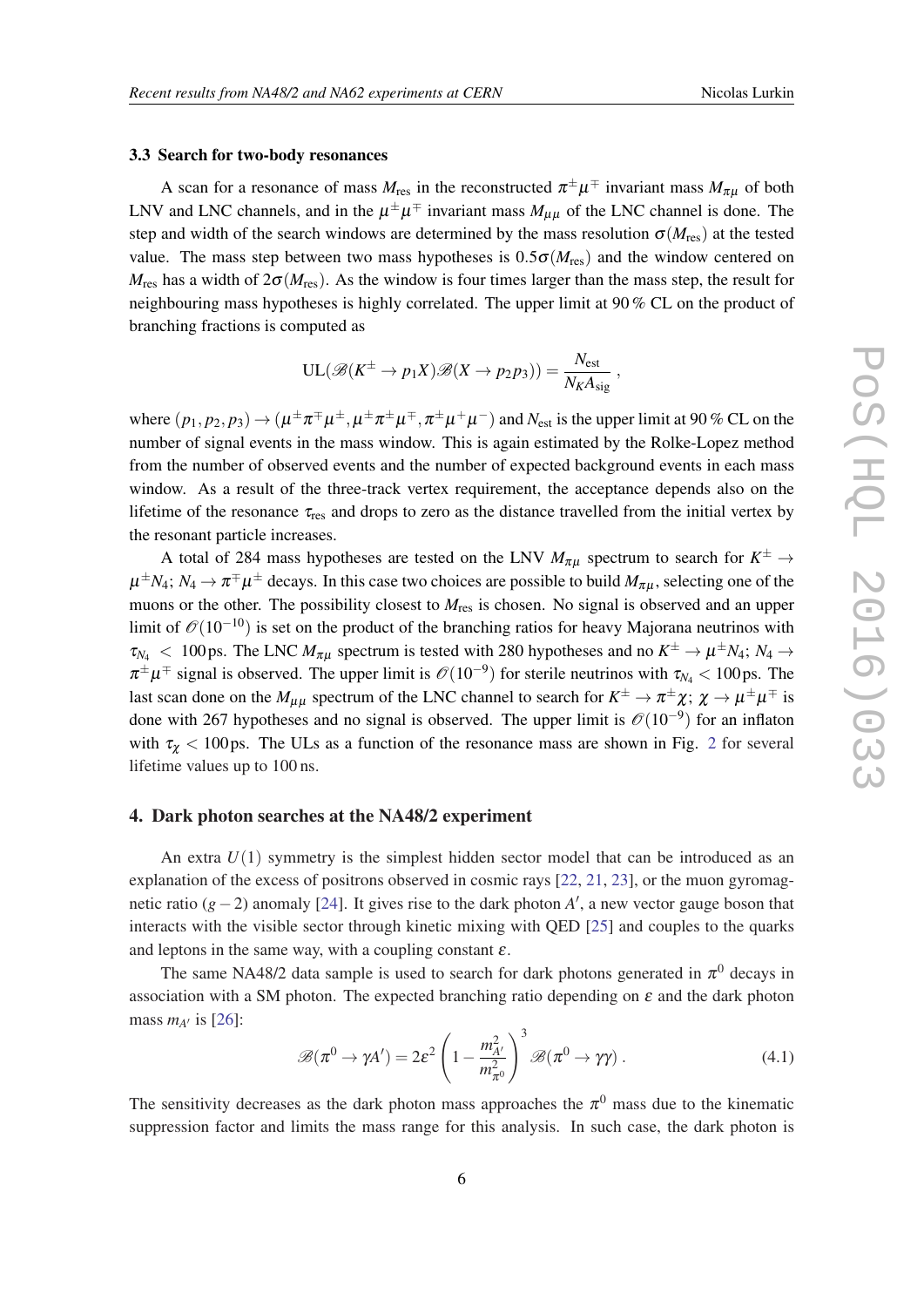# <span id="page-6-0"></span>3.3 Search for two-body resonances

A scan for a resonance of mass  $M_{res}$  in the reconstructed  $\pi^{\pm}\mu^{\mp}$  invariant mass  $M_{\pi\mu}$  of both LNV and LNC channels, and in the  $\mu^{\pm}\mu^{\mp}$  invariant mass  $M_{\mu\mu}$  of the LNC channel is done. The step and width of the search windows are determined by the mass resolution  $\sigma(M_{res})$  at the tested value. The mass step between two mass hypotheses is  $0.5\sigma(M_{res})$  and the window centered on  $M_{\text{res}}$  has a width of  $2\sigma(M_{\text{res}})$ . As the window is four times larger than the mass step, the result for neighbouring mass hypotheses is highly correlated. The upper limit at 90 % CL on the product of branching fractions is computed as

$$
UL(\mathscr{B}(K^{\pm} \to p_1 X)\mathscr{B}(X \to p_2 p_3)) = \frac{N_{\text{est}}}{N_K A_{\text{sig}}},
$$

where  $(p_1, p_2, p_3) \to (\mu^{\pm}\pi^{\mp}\mu^{\pm}, \mu^{\pm}\pi^{\pm}\mu^{\mp}, \pi^{\pm}\mu^+\mu^-)$  and  $N_{est}$  is the upper limit at 90 % CL on the number of signal events in the mass window. This is again estimated by the Rolke-Lopez method from the number of observed events and the number of expected background events in each mass window. As a result of the three-track vertex requirement, the acceptance depends also on the lifetime of the resonance  $\tau_{res}$  and drops to zero as the distance travelled from the initial vertex by the resonant particle increases.

A total of 284 mass hypotheses are tested on the LNV  $M_{\pi\mu}$  spectrum to search for  $K^{\pm} \rightarrow$  $\mu^{\pm}N_4; N_4\to \pi^{\mp}\mu^{\pm}$  decays. In this case two choices are possible to build  $M_{\pi\mu}$ , selecting one of the muons or the other. The possibility closest to  $M_{res}$  is chosen. No signal is observed and an upper limit of  $\mathcal{O}(10^{-10})$  is set on the product of the branching ratios for heavy Majorana neutrinos with  $\tau_{N_4}$  < 100 ps. The LNC  $M_{\pi\mu}$  spectrum is tested with 280 hypotheses and no  $K^{\pm} \to \mu^{\pm} N_4$ ;  $N_4 \to$  $\pi^{\pm}\mu^{\mp}$  signal is observed. The upper limit is  $\mathcal{O}(10^{-9})$  for sterile neutrinos with  $\tau_{N_4}$  < 100 ps. The last scan done on the  $M_{\mu\mu}$  spectrum of the LNC channel to search for  $K^{\pm}\to\pi^{\pm}\chi$ ;  $\chi\to\mu^{\pm}\mu^{\mp}$  is done with 267 hypotheses and no signal is observed. The upper limit is  $\mathcal{O}(10^{-9})$  for an inflaton with  $\tau_{\gamma}$  < 100 ps. The ULs as a function of the resonance mass are shown in Fig. [2](#page-7-0) for several lifetime values up to 100 ns.

### 4. Dark photon searches at the NA48/2 experiment

An extra  $U(1)$  symmetry is the simplest hidden sector model that can be introduced as an explanation of the excess of positrons observed in cosmic rays [\[22](#page-10-0), [21,](#page-10-0) [23](#page-10-0)], or the muon gyromagnetic ratio (*g*−2) anomaly [[24\]](#page-10-0). It gives rise to the dark photon *A* 0 , a new vector gauge boson that interacts with the visible sector through kinetic mixing with QED [\[25\]](#page-10-0) and couples to the quarks and leptons in the same way, with a coupling constant  $\varepsilon$ .

The same NA48/2 data sample is used to search for dark photons generated in  $\pi^0$  decays in association with a SM photon. The expected branching ratio depending on  $\varepsilon$  and the dark photon mass  $m_{A}$ <sup>*i*</sup> is [[26\]](#page-10-0):

$$
\mathcal{B}(\pi^0 \to \gamma A') = 2\varepsilon^2 \left(1 - \frac{m_{A'}^2}{m_{\pi^0}^2}\right)^3 \mathcal{B}(\pi^0 \to \gamma \gamma) \,. \tag{4.1}
$$

The sensitivity decreases as the dark photon mass approaches the  $\pi^0$  mass due to the kinematic suppression factor and limits the mass range for this analysis. In such case, the dark photon is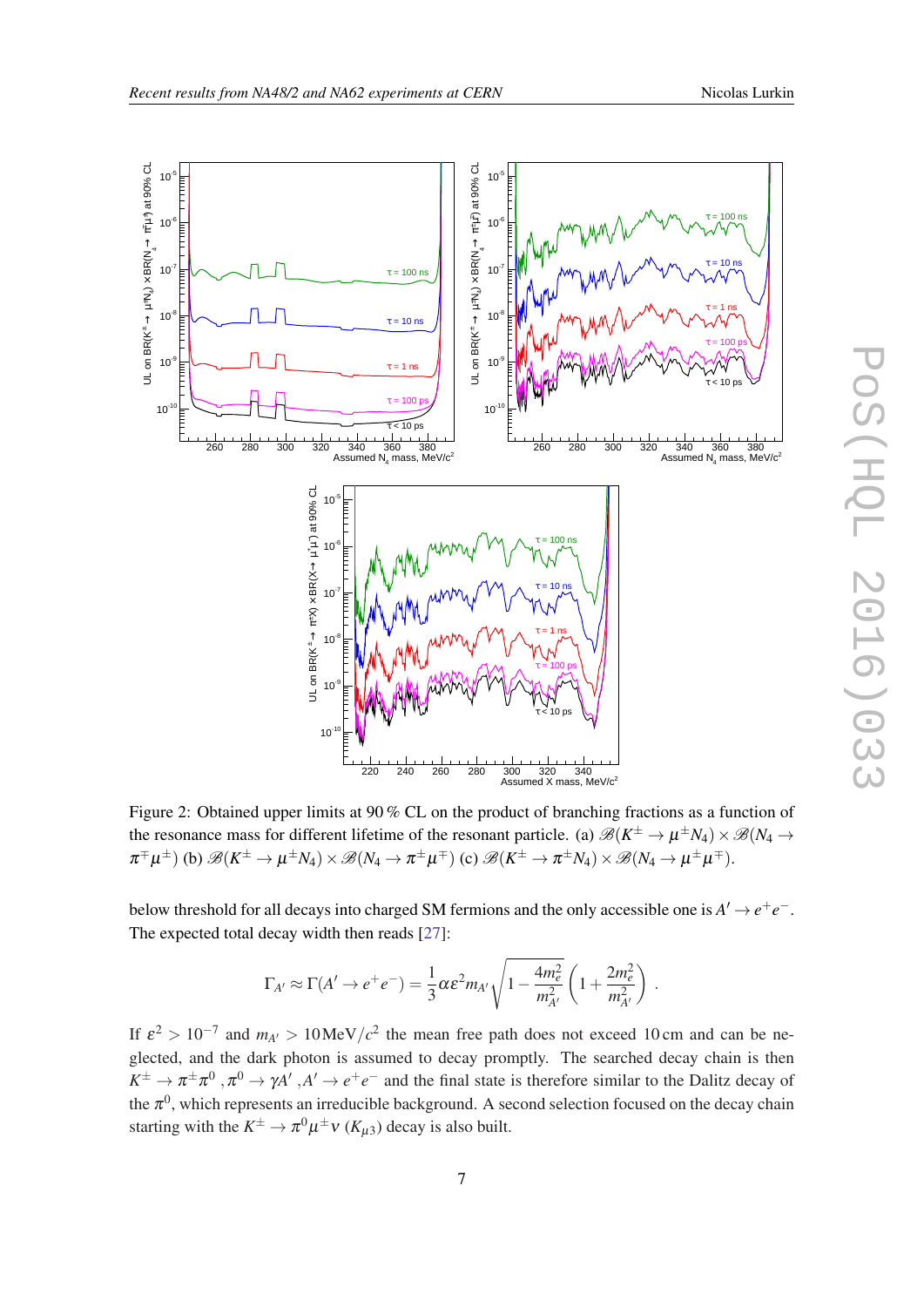<span id="page-7-0"></span>



Figure 2: Obtained upper limits at 90 % CL on the product of branching fractions as a function of the resonance mass for different lifetime of the resonant particle. (a)  $\mathscr{B}(K^{\pm}\to\mu^{\pm}N_4)\times \mathscr{B}(N_4\to\mu^{\pm}N_5)$  $\pi^{\mp}\mu^{\pm}$ ) (b)  $\mathscr{B}(K^{\pm}\to\mu^{\pm}N_{4})\times \mathscr{B}(N_{4}\to\pi^{\pm}\mu^{\mp})$  (c)  $\mathscr{B}(K^{\pm}\to\pi^{\pm}N_{4})\times \mathscr{B}(N_{4}\to\mu^{\pm}\mu^{\mp}).$ 

below threshold for all decays into charged SM fermions and the only accessible one is  $A' \rightarrow e^+e^-$ . The expected total decay width then reads [\[27](#page-10-0)]:

$$
\Gamma_{A'} \approx \Gamma(A' \to e^+e^-) = \frac{1}{3} \alpha \varepsilon^2 m_{A'} \sqrt{1 - \frac{4m_e^2}{m_{A'}^2}} \left(1 + \frac{2m_e^2}{m_{A'}^2}\right) .
$$

If  $\varepsilon^2 > 10^{-7}$  and  $m_{A'} > 10 \text{ MeV}/c^2$  the mean free path does not exceed 10 cm and can be neglected, and the dark photon is assumed to decay promptly. The searched decay chain is then  $K^{\pm} \to \pi^{\pm} \pi^0$ ,  $\pi^0 \to \gamma A'$ ,  $A' \to e^+ e^-$  and the final state is therefore similar to the Dalitz decay of the  $\pi^0$ , which represents an irreducible background. A second selection focused on the decay chain starting with the  $K^{\pm} \to \pi^0 \mu^{\pm} \nu$  ( $K_{\mu 3}$ ) decay is also built.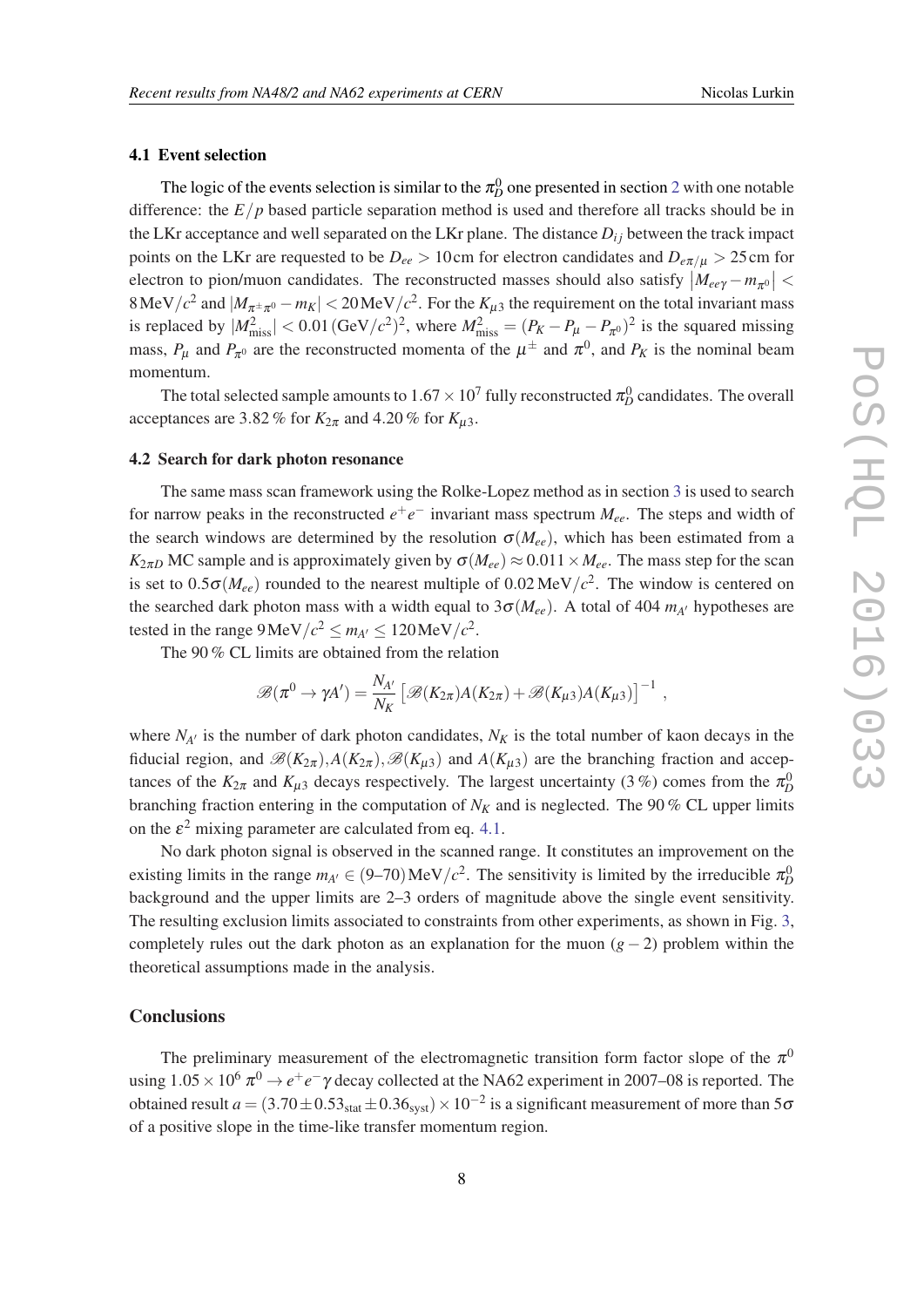### 4.1 Event selection

The logic of the events selection is similar to the  $\pi_D^0$  one presented in section [2](#page-2-0) with one notable difference: the  $E/p$  based particle separation method is used and therefore all tracks should be in the LKr acceptance and well separated on the LKr plane. The distance  $D_{ij}$  between the track impact points on the LKr are requested to be  $D_{ee} > 10$  cm for electron candidates and  $D_{e\pi/\mu} > 25$  cm for electron to pion/muon candidates. The reconstructed masses should also satisfy  $|M_{ee\gamma} - m_{\pi^0}|$  <  $8 \text{ MeV}/c^2$  and  $|M_{\pi^{\pm}\pi^0} - m_K| < 20 \text{ MeV}/c^2$ . For the  $K_{\mu 3}$  the requirement on the total invariant mass is replaced by  $|M_{\text{miss}}^2| < 0.01 (\text{GeV}/c^2)^2$ , where  $M_{\text{miss}}^2 = (P_K - P_\mu - P_{\pi^0})^2$  is the squared missing mass,  $P_{\mu}$  and  $P_{\pi^0}$  are the reconstructed momenta of the  $\mu^{\pm}$  and  $\pi^0$ , and  $P_K$  is the nominal beam momentum.

The total selected sample amounts to  $1.67 \times 10^7$  fully reconstructed  $\pi_D^0$  candidates. The overall acceptances are 3.82 % for  $K_{2\pi}$  and 4.20 % for  $K_{\mu}$ 3.

### 4.2 Search for dark photon resonance

The same mass scan framework using the Rolke-Lopez method as in section [3](#page-3-0) is used to search for narrow peaks in the reconstructed  $e^+e^-$  invariant mass spectrum  $M_{ee}$ . The steps and width of the search windows are determined by the resolution  $\sigma(M_{ee})$ , which has been estimated from a  $K_{2\pi D}$  MC sample and is approximately given by  $\sigma(M_{ee}) \approx 0.011 \times M_{ee}$ . The mass step for the scan is set to  $0.5\sigma(M_{ee})$  rounded to the nearest multiple of  $0.02 \text{ MeV}/c^2$ . The window is centered on the searched dark photon mass with a width equal to  $3\sigma(M_{ee})$ . A total of 404  $m_{A}$  hypotheses are tested in the range  $9 \text{MeV}/c^2 \le m_{A'} \le 120 \text{MeV}/c^2$ .

The 90 % CL limits are obtained from the relation

$$
\mathscr{B}(\pi^0 \to \gamma A') = \frac{N_{A'}}{N_K} \left[ \mathscr{B}(K_{2\pi}) A(K_{2\pi}) + \mathscr{B}(K_{\mu 3}) A(K_{\mu 3}) \right]^{-1} ,
$$

where  $N_{A}$ <sup> $\prime$ </sup> is the number of dark photon candidates,  $N_K$  is the total number of kaon decays in the fiducial region, and  $\mathcal{B}(K_{2\pi}), A(K_{2\pi}), \mathcal{B}(K_{\mu 3})$  and  $A(K_{\mu 3})$  are the branching fraction and acceptances of the  $K_{2\pi}$  and  $K_{\mu 3}$  decays respectively. The largest uncertainty (3%) comes from the  $\pi_D^0$ branching fraction entering in the computation of  $N_K$  and is neglected. The 90 % CL upper limits on the  $\varepsilon^2$  mixing parameter are calculated from eq. [4.1.](#page-6-0)

No dark photon signal is observed in the scanned range. It constitutes an improvement on the existing limits in the range  $m_{A'} \in (9-70) \text{ MeV}/c^2$ . The sensitivity is limited by the irreducible  $\pi_D^0$ background and the upper limits are 2–3 orders of magnitude above the single event sensitivity. The resulting exclusion limits associated to constraints from other experiments, as shown in Fig. [3](#page-9-0), completely rules out the dark photon as an explanation for the muon  $(g - 2)$  problem within the theoretical assumptions made in the analysis.

### **Conclusions**

The preliminary measurement of the electromagnetic transition form factor slope of the  $\pi^0$ using  $1.05 \times 10^6$   $\pi^0 \to e^+e^- \gamma$  decay collected at the NA62 experiment in 2007–08 is reported. The obtained result  $a = (3.70 \pm 0.53_{stat} \pm 0.36_{syst}) \times 10^{-2}$  is a significant measurement of more than 5 $\sigma$ of a positive slope in the time-like transfer momentum region.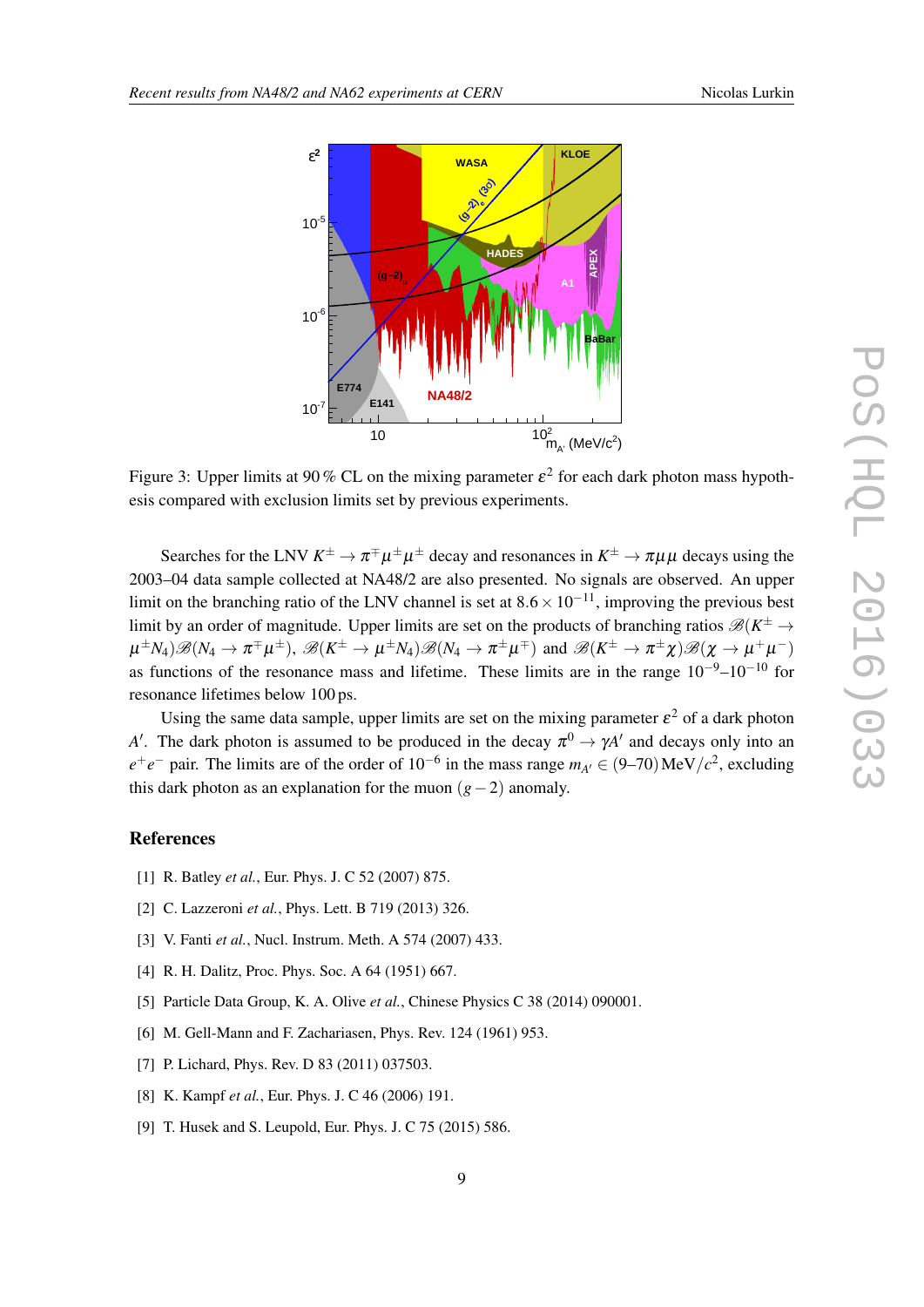<span id="page-9-0"></span>

Figure 3: Upper limits at 90 % CL on the mixing parameter  $\varepsilon^2$  for each dark photon mass hypothesis compared with exclusion limits set by previous experiments.

Searches for the LNV  $K^{\pm} \to \pi^{\mp} \mu^{\pm} \mu^{\pm}$  decay and resonances in  $K^{\pm} \to \pi \mu \mu$  decays using the 2003–04 data sample collected at NA48/2 are also presented. No signals are observed. An upper limit on the branching ratio of the LNV channel is set at  $8.6 \times 10^{-11}$ , improving the previous best limit by an order of magnitude. Upper limits are set on the products of branching ratios  $\mathscr{B}(K^{\pm} \to$  $\mu^{\pm}N_4)\mathscr{B}(N_4\to \pi^{\mp}\mu^{\pm}),\ \mathscr{B}(K^{\pm}\to \mu^{\pm}N_4)\mathscr{B}(N_4\to \pi^{\pm}\mu^{\mp})\,\,\text{and}\,\,\mathscr{B}(K^{\pm}\to \pi^{\pm}\chi)\mathscr{B}(\chi\to \mu^+\mu^-)$ as functions of the resonance mass and lifetime. These limits are in the range  $10^{-9}$ – $10^{-10}$  for resonance lifetimes below 100 ps.

Using the same data sample, upper limits are set on the mixing parameter  $\varepsilon^2$  of a dark photon *A'*. The dark photon is assumed to be produced in the decay  $\pi^0 \to \gamma A'$  and decays only into an  $e^+e^-$  pair. The limits are of the order of 10<sup>-6</sup> in the mass range  $m_{A'} \in (9-70) \text{ MeV}/c^2$ , excluding this dark photon as an explanation for the muon  $(g-2)$  anomaly.

### References

- [1] R. Batley *et al.*, Eur. Phys. J. C 52 (2007) 875.
- [2] C. Lazzeroni *et al.*, Phys. Lett. B 719 (2013) 326.
- [3] V. Fanti *et al.*, Nucl. Instrum. Meth. A 574 (2007) 433.
- [4] R. H. Dalitz, Proc. Phys. Soc. A 64 (1951) 667.
- [5] Particle Data Group, K. A. Olive *et al.*, Chinese Physics C 38 (2014) 090001.
- [6] M. Gell-Mann and F. Zachariasen, Phys. Rev. 124 (1961) 953.
- [7] P. Lichard, Phys. Rev. D 83 (2011) 037503.
- [8] K. Kampf *et al.*, Eur. Phys. J. C 46 (2006) 191.
- [9] T. Husek and S. Leupold, Eur. Phys. J. C 75 (2015) 586.